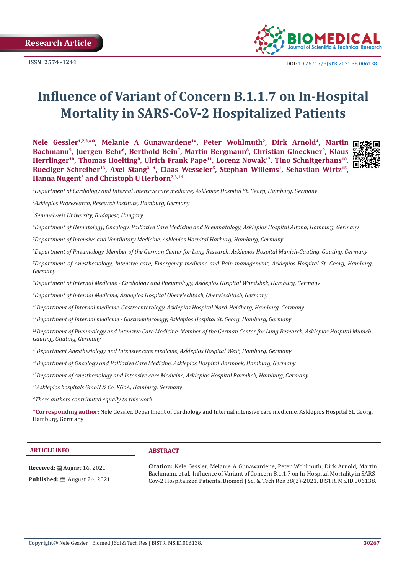**ISSN: 2574 -1241**



# **Influence of Variant of Concern B.1.1.7 on In-Hospital Mortality in SARS-CoV-2 Hospitalized Patients**

**Nele Gessler1,2,3,#\*, Melanie A Gunawardene1#, Peter Wohlmuth<sup>2</sup>, Dirk Arnold4, Martin Bachmann<sup>5</sup>, Juergen Behr<sup>6</sup>, Berthold Bein<sup>7</sup>, Martin Bergmann<sup>8</sup>, Christian Gloeckner<sup>9</sup>, Klaus Herrlinger<sup>10</sup>, Thomas Hoelting<sup>8</sup>, Ulrich Frank Pape<sup>11</sup>, Lorenz Nowak<sup>12</sup>, Tino Schnitgerhans10, Ruediger Schreiber<sup>13</sup>, Axel Stang**<sup>3,14</sup>, Claas Wesseler<sup>5</sup>, Stephan Willems<sup>1</sup>, Sebastian Wirtz<sup>15</sup>, **International Microsoft Hanna Nugent<sup>3</sup> and Christoph U Herborn2,3,16**



*1 Department of Cardiology and Internal intensive care medicine, Asklepios Hospital St. Georg, Hamburg, Germany*

*2 Asklepios Proresearch, Research institute, Hamburg, Germany*

*3 Semmelweis University, Budapest, Hungary*

*4 Department of Hematology, Oncology, Palliative Care Medicine and Rheumatology, Asklepios Hospital Altona, Hamburg, Germany*

*5 Department of Intensive and Ventilatory Medicine, Asklepios Hospital Harburg, Hamburg, Germany*

*6 Department of Pneumology, Member of the German Center for Lung Research, Asklepios Hospital Munich-Gauting, Gauting, Germany* 

*7 Department of Anesthesiology, Intensive care, Emergency medicine and Pain management, Asklepios Hospital St. Georg, Hamburg, Germany*

*8 Department of Internal Medicine - Cardiology and Pneumology, Asklepios Hospital Wandsbek, Hamburg, Germany* 

*9 Department of Internal Medicine, Asklepios Hospital Oberviechtach, Oberviechtach, Germany*

*10Department of Internal medicine-Gastroenterology, Asklepios Hospital Nord-Heidberg, Hamburg, Germany*

*11Department of Internal medicine - Gastroenterology, Asklepios Hospital St. Georg, Hamburg, Germany*

*12Department of Pneumology and Intensive Care Medicine, Member of the German Center for Lung Research, Asklepios Hospital Munich-Gauting, Gauting, Germany*

*13Department Anesthesiology and Intensive care medicine, Asklepios Hospital West, Hamburg, Germany*

*14Department of Oncology and Palliative Care Medicine, Asklepios Hospital Barmbek, Hamburg, Germany*

*15Department of Anesthesiology and Intensive care Medicine, Asklepios Hospital Barmbek, Hamburg, Germany*

*16Asklepios hospitals GmbH & Co. KGaA, Hamburg, Germany*

*#These authors contributed equally to this work*

**\*Corresponding author:** Nele Gessler, Department of Cardiology and Internal intensive care medicine, Asklepios Hospital St. Georg, Hamburg, Germany

| <b>ARTICLE INFO</b>                                                                                        | <b>ABSTRACT</b>                                                                                                                                                                                                                                                                   |
|------------------------------------------------------------------------------------------------------------|-----------------------------------------------------------------------------------------------------------------------------------------------------------------------------------------------------------------------------------------------------------------------------------|
| <b>Received:</b> $\mathbf{\mathfrak{m}}$ August 16, 2021<br><b>Published:</b> $\ddot{\Xi}$ August 24, 2021 | <b>Citation:</b> Nele Gessler, Melanie A Gunawardene, Peter Wohlmuth, Dirk Arnold, Martin<br>Bachmann, et al., Influence of Variant of Concern B.1.1.7 on In-Hospital Mortality in SARS-<br>Cov-2 Hospitalized Patients. Biomed J Sci & Tech Res 38(2)-2021. BISTR. MS.ID.006138. |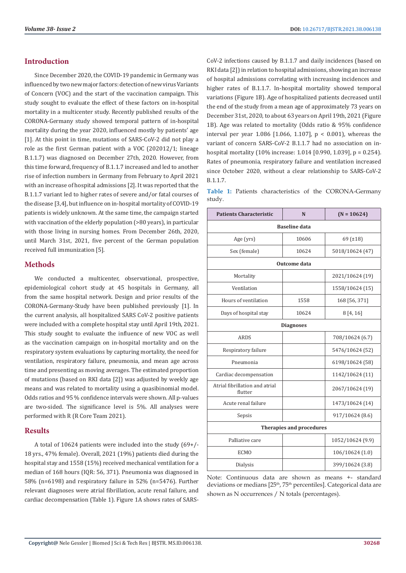# **Introduction**

Since December 2020, the COVID-19 pandemic in Germany was influenced by two new major factors: detection of new virus Variants of Concern (VOC) and the start of the vaccination campaign. This study sought to evaluate the effect of these factors on in-hospital mortality in a multicenter study. Recently published results of the CORONA-Germany study showed temporal pattern of in-hospital mortality during the year 2020, influenced mostly by patients' age [1]. At this point in time, mutations of SARS-CoV-2 did not play a role as the first German patient with a VOC (202012/1; lineage B.1.1.7) was diagnosed on December 27th, 2020. However, from this time forward, frequency of B.1.1.7 increased and led to another rise of infection numbers in Germany from February to April 2021 with an increase of hospital admissions [2]. It was reported that the B.1.1.7 variant led to higher rates of severe and/or fatal courses of the disease [3,4], but influence on in-hospital mortality of COVID-19 patients is widely unknown. At the same time, the campaign started with vaccination of the elderly population (>80 years), in particular with those living in nursing homes. From December 26th, 2020, until March 31st, 2021, five percent of the German population received full immunization [5].

## **Methods**

We conducted a multicenter, observational, prospective, epidemiological cohort study at 45 hospitals in Germany, all from the same hospital network. Design and prior results of the CORONA-Germany-Study have been published previously [1]. In the current analysis, all hospitalized SARS CoV-2 positive patients were included with a complete hospital stay until April 19th, 2021. This study sought to evaluate the influence of new VOC as well as the vaccination campaign on in-hospital mortality and on the respiratory system evaluations by capturing mortality, the need for ventilation, respiratory failure, pneumonia, and mean age across time and presenting as moving averages. The estimated proportion of mutations (based on RKI data [2]) was adjusted by weekly age means and was related to mortality using a quasibinomial model. Odds ratios and 95 % confidence intervals were shown. All p-values are two-sided. The significance level is 5%. All analyses were performed with R (R Core Team 2021).

# **Results**

A total of 10624 patients were included into the study (69+/- 18 yrs., 47% female). Overall, 2021 (19%) patients died during the hospital stay and 1558 (15%) received mechanical ventilation for a median of 168 hours (IQR: 56, 371). Pneumonia was diagnosed in 58% (n=6198) and respiratory failure in 52% (n=5476). Further relevant diagnoses were atrial fibrillation, acute renal failure, and cardiac decompensation (Table 1). Figure 1A shows rates of SARS-

CoV-2 infections caused by B.1.1.7 and daily incidences (based on RKI data [2]) in relation to hospital admissions, showing an increase of hospital admissions correlating with increasing incidences and higher rates of B.1.1.7. In-hospital mortality showed temporal variations (Figure 1B). Age of hospitalized patients decreased until the end of the study from a mean age of approximately 73 years on December 31st, 2020, to about 63 years on April 19th, 2021 (Figure 1B). Age was related to mortality (Odds ratio & 95% confidence interval per year 1.086 [1.066, 1.107], p < 0.001), whereas the variant of concern SARS-CoV-2 B.1.1.7 had no association on inhospital mortality (10% increase: 1.014 [0.990, 1.039], p = 0.254). Rates of pneumonia, respiratory failure and ventilation increased since October 2020, without a clear relationship to SARS-CoV-2 B.1.1.7.

**Table 1:** Patients characteristics of the CORONA-Germany study.

| <b>Patients Characteristic</b>            | N     | $(N = 10624)$     |  |
|-------------------------------------------|-------|-------------------|--|
| <b>Baseline</b> data                      |       |                   |  |
| Age (yrs)                                 | 10606 | $69$ ( $\pm 18$ ) |  |
| Sex (female)                              | 10624 | 5018/10624 (47)   |  |
| <b>Outcome</b> data                       |       |                   |  |
| Mortality                                 |       | 2021/10624 (19)   |  |
| Ventilation                               |       | 1558/10624 (15)   |  |
| Hours of ventilation                      | 1558  | 168 [56, 371]     |  |
| Days of hospital stay                     | 10624 | 8[4, 16]          |  |
| <b>Diagnoses</b>                          |       |                   |  |
| ARDS                                      |       | 708/10624 (6.7)   |  |
| Respiratory failure                       |       | 5476/10624 (52)   |  |
| Pneumonia                                 |       | 6198/10624 (58)   |  |
| Cardiac decompensation                    |       | 1142/10624 (11)   |  |
| Atrial fibrillation and atrial<br>flutter |       | 2067/10624 (19)   |  |
| Acute renal failure                       |       | 1473/10624 (14)   |  |
| Sepsis                                    |       | 917/10624 (8.6)   |  |
| <b>Therapies and procedures</b>           |       |                   |  |
| Palliative care                           |       | 1052/10624 (9.9)  |  |
| <b>ECMO</b>                               |       | 106/10624 (1.0)   |  |
| Dialysis                                  |       | 399/10624 (3.8)   |  |

Note: Continuous data are shown as means +- standard deviations or medians [25<sup>th</sup>, 75<sup>th</sup> percentiles]. Categorical data are shown as N occurrences / N totals (percentages).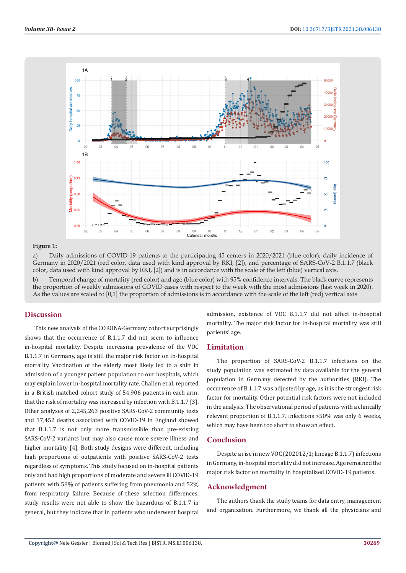

#### **Figure 1:**

a) Daily admissions of COVID-19 patients to the participating 45 centers in 2020/2021 (blue color), daily incidence of Germany in 2020/2021 (red color, data used with kind approval by RKI, [2]), and percentage of SARS-CoV-2 B.1.1.7 (black color, data used with kind approval by RKI, [2]) and is in accordance with the scale of the left (blue) vertical axis.

b) Temporal change of mortality (red color) and age (blue color) with 95% confidence intervals. The black curve represents the proportion of weekly admissions of COVID cases with respect to the week with the most admissions (last week in 2020). As the values are scaled to [0,1] the proportion of admissions is in accordance with the scale of the left (red) vertical axis.

#### **Discussion**

This new analysis of the CORONA-Germany cohort surprisingly shows that the occurrence of B.1.1.7 did not seem to influence in-hospital mortality. Despite increasing prevalence of the VOC B.1.1.7 in Germany, age is still the major risk factor on in-hospital mortality. Vaccination of the elderly most likely led to a shift in admission of a younger patient population to our hospitals, which may explain lower in-hospital mortality rate. Challen et al. reported in a British matched cohort study of 54,906 patients in each arm, that the risk of mortality was increased by infection with B.1.1.7 [3]. Other analyses of 2,245,263 positive SARS-CoV-2 community tests and 17,452 deaths associated with COVID-19 in England showed that B.1.1.7 is not only more transmissible than pre-existing SARS-CoV-2 variants but may also cause more severe illness and higher mortality [4]. Both study designs were different, including high proportions of outpatients with positive SARS-CoV-2 tests regardless of symptoms. This study focused on in-hospital patients only and had high proportions of moderate and severe ill COVID-19 patients with 58% of patients suffering from pneumonia and 52% from respiratory failure. Because of these selection differences, study results were not able to show the hazardous of B.1.1.7 in general, but they indicate that in patients who underwent hospital

admission, existence of VOC B.1.1.7 did not affect in-hospital mortality. The major risk factor for in-hospital mortality was still patients' age.

## **Limitation**

The proportion of SARS-CoV-2 B.1.1.7 infections on the study population was estimated by data available for the general population in Germany detected by the authorities (RKI). The occurrence of B.1.1.7 was adjusted by age, as it is the strongest risk factor for mortality. Other potential risk factors were not included in the analysis. The observational period of patients with a clinically relevant proportion of B.1.1.7. infections >50% was only 6 weeks, which may have been too short to show an effect.

### **Conclusion**

Despite a rise in new VOC (202012/1; lineage B.1.1.7) infections in Germany, in-hospital mortality did not increase. Age remained the major risk factor on mortality in hospitalized COVID-19 patients.

### **Acknowledgment**

The authors thank the study teams for data entry, management and organization. Furthermore, we thank all the physicians and